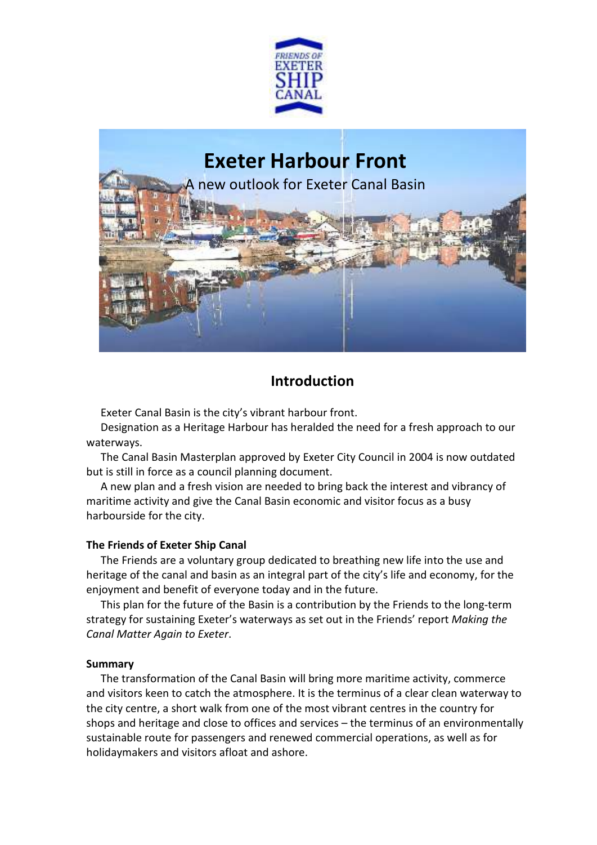

# **Exeter Harbour Front**

new outlook for Exeter Canal Basin



# **Introduction**

Exeter Canal Basin is the city's vibrant harbour front.

Designation as a Heritage Harbour has heralded the need for a fresh approach to our waterways.

The Canal Basin Masterplan approved by Exeter City Council in 2004 is now outdated but is still in force as a council planning document.

A new plan and a fresh vision are needed to bring back the interest and vibrancy of maritime activity and give the Canal Basin economic and visitor focus as a busy harbourside for the city.

# **The Friends of Exeter Ship Canal**

The Friends are a voluntary group dedicated to breathing new life into the use and heritage of the canal and basin as an integral part of the city's life and economy, for the enjoyment and benefit of everyone today and in the future.

This plan for the future of the Basin is a contribution by the Friends to the long-term strategy for sustaining Exeter's waterways as set out in the Friends' report *Making the Canal Matter Again to Exeter*.

# **Summary**

The transformation of the Canal Basin will bring more maritime activity, commerce and visitors keen to catch the atmosphere. It is the terminus of a clear clean waterway to the city centre, a short walk from one of the most vibrant centres in the country for shops and heritage and close to offices and services – the terminus of an environmentally sustainable route for passengers and renewed commercial operations, as well as for holidaymakers and visitors afloat and ashore.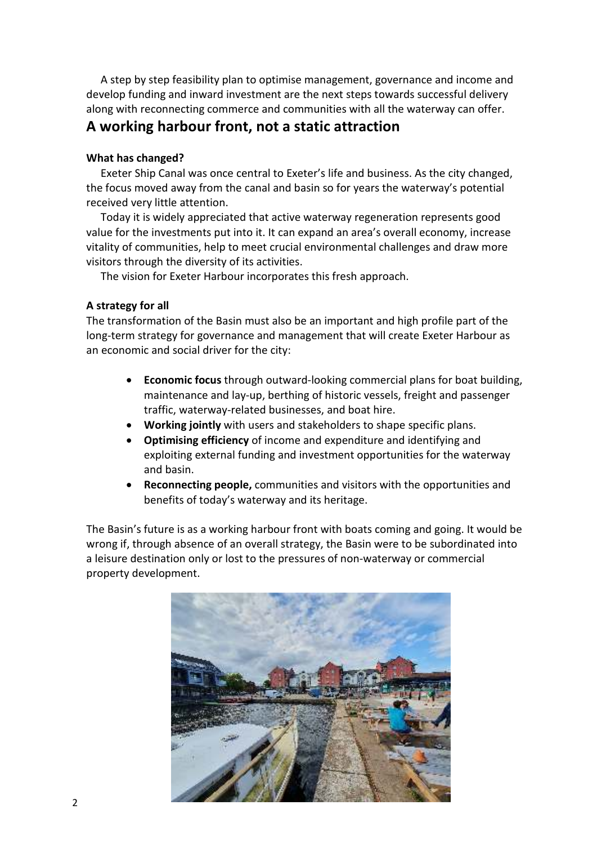A step by step feasibility plan to optimise management, governance and income and develop funding and inward investment are the next steps towards successful delivery along with reconnecting commerce and communities with all the waterway can offer.

# **A working harbour front, not a static attraction**

# **What has changed?**

Exeter Ship Canal was once central to Exeter's life and business. As the city changed, the focus moved away from the canal and basin so for years the waterway's potential received very little attention.

Today it is widely appreciated that active waterway regeneration represents good value for the investments put into it. It can expand an area's overall economy, increase vitality of communities, help to meet crucial environmental challenges and draw more visitors through the diversity of its activities.

The vision for Exeter Harbour incorporates this fresh approach.

# **A strategy for all**

The transformation of the Basin must also be an important and high profile part of the long-term strategy for governance and management that will create Exeter Harbour as an economic and social driver for the city:

- **Economic focus** through outward-looking commercial plans for boat building, maintenance and lay-up, berthing of historic vessels, freight and passenger traffic, waterway-related businesses, and boat hire.
- **Working jointly** with users and stakeholders to shape specific plans.
- **Optimising efficiency** of income and expenditure and identifying and exploiting external funding and investment opportunities for the waterway and basin.
- **Reconnecting people,** communities and visitors with the opportunities and benefits of today's waterway and its heritage.

The Basin's future is as a working harbour front with boats coming and going. It would be wrong if, through absence of an overall strategy, the Basin were to be subordinated into a leisure destination only or lost to the pressures of non-waterway or commercial property development.

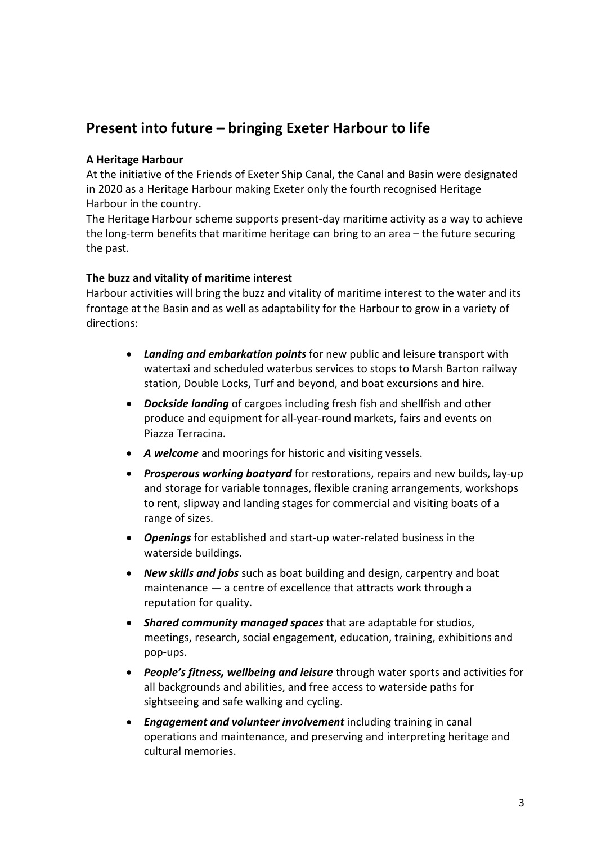# **Present into future – bringing Exeter Harbour to life**

# **A Heritage Harbour**

At the initiative of the Friends of Exeter Ship Canal, the Canal and Basin were designated in 2020 as a Heritage Harbour making Exeter only the fourth recognised Heritage Harbour in the country.

The Heritage Harbour scheme supports present-day maritime activity as a way to achieve the long-term benefits that maritime heritage can bring to an area – the future securing the past.

## **The buzz and vitality of maritime interest**

Harbour activities will bring the buzz and vitality of maritime interest to the water and its frontage at the Basin and as well as adaptability for the Harbour to grow in a variety of directions:

- *Landing and embarkation points* for new public and leisure transport with watertaxi and scheduled waterbus services to stops to Marsh Barton railway station, Double Locks, Turf and beyond, and boat excursions and hire.
- *Dockside landing* of cargoes including fresh fish and shellfish and other produce and equipment for all-year-round markets, fairs and events on Piazza Terracina.
- *A welcome* and moorings for historic and visiting vessels.
- *Prosperous working boatyard* for restorations, repairs and new builds, lay-up and storage for variable tonnages, flexible craning arrangements, workshops to rent, slipway and landing stages for commercial and visiting boats of a range of sizes.
- *Openings* for established and start-up water-related business in the waterside buildings.
- *New skills and jobs* such as boat building and design, carpentry and boat maintenance — a centre of excellence that attracts work through a reputation for quality.
- *Shared community managed spaces* that are adaptable for studios, meetings, research, social engagement, education, training, exhibitions and pop-ups.
- *People's fitness, wellbeing and leisure* through water sports and activities for all backgrounds and abilities, and free access to waterside paths for sightseeing and safe walking and cycling.
- *Engagement and volunteer involvement* including training in canal operations and maintenance, and preserving and interpreting heritage and cultural memories.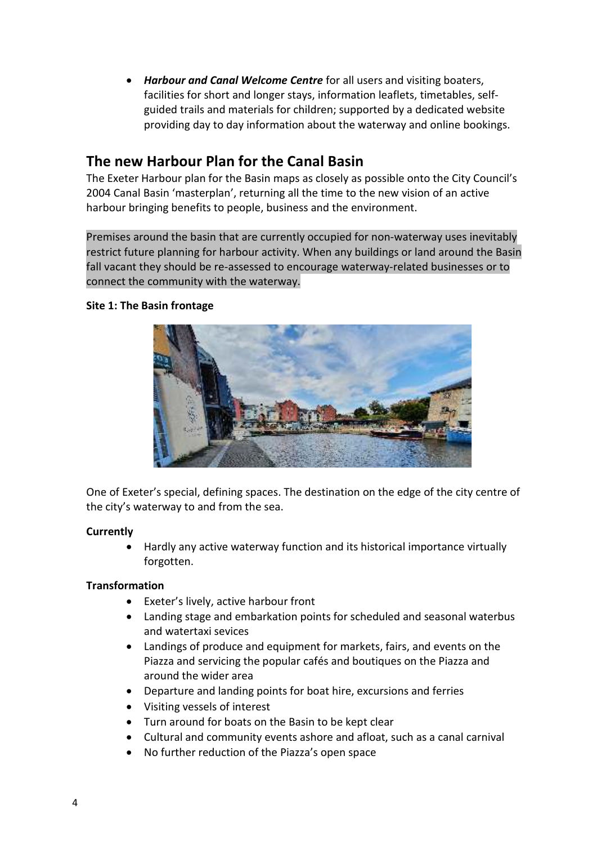*Harbour and Canal Welcome Centre* for all users and visiting boaters, facilities for short and longer stays, information leaflets, timetables, selfguided trails and materials for children; supported by a dedicated website providing day to day information about the waterway and online bookings.

# **The new Harbour Plan for the Canal Basin**

The Exeter Harbour plan for the Basin maps as closely as possible onto the City Council's 2004 Canal Basin 'masterplan', returning all the time to the new vision of an active harbour bringing benefits to people, business and the environment.

Premises around the basin that are currently occupied for non-waterway uses inevitably restrict future planning for harbour activity. When any buildings or land around the Basin fall vacant they should be re-assessed to encourage waterway-related businesses or to connect the community with the waterway.

# **Site 1: The Basin frontage**



One of Exeter's special, defining spaces. The destination on the edge of the city centre of the city's waterway to and from the sea.

# **Currently**

 Hardly any active waterway function and its historical importance virtually forgotten.

- Exeter's lively, active harbour front
- Landing stage and embarkation points for scheduled and seasonal waterbus and watertaxi sevices
- Landings of produce and equipment for markets, fairs, and events on the Piazza and servicing the popular cafés and boutiques on the Piazza and around the wider area
- Departure and landing points for boat hire, excursions and ferries
- Visiting vessels of interest
- Turn around for boats on the Basin to be kept clear
- Cultural and community events ashore and afloat, such as a canal carnival
- No further reduction of the Piazza's open space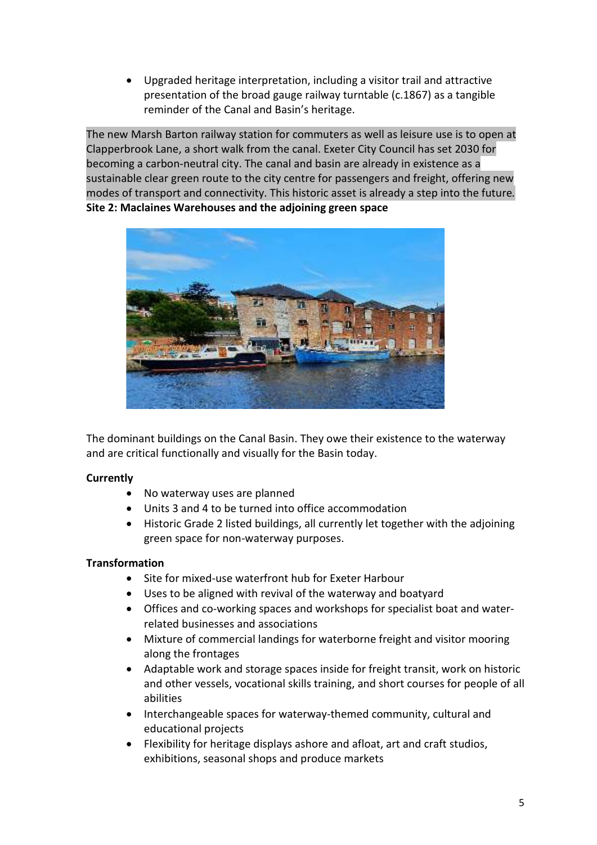Upgraded heritage interpretation, including a visitor trail and attractive presentation of the broad gauge railway turntable (c.1867) as a tangible reminder of the Canal and Basin's heritage.

The new Marsh Barton railway station for commuters as well as leisure use is to open at Clapperbrook Lane, a short walk from the canal. Exeter City Council has set 2030 for becoming a carbon-neutral city. The canal and basin are already in existence as a sustainable clear green route to the city centre for passengers and freight, offering new modes of transport and connectivity. This historic asset is already a step into the future*.*  **Site 2: Maclaines Warehouses and the adjoining green space** 



The dominant buildings on the Canal Basin. They owe their existence to the waterway and are critical functionally and visually for the Basin today.

# **Currently**

- No waterway uses are planned
- Units 3 and 4 to be turned into office accommodation
- Historic Grade 2 listed buildings, all currently let together with the adjoining green space for non-waterway purposes.

- Site for mixed-use waterfront hub for Exeter Harbour
- Uses to be aligned with revival of the waterway and boatyard
- Offices and co-working spaces and workshops for specialist boat and waterrelated businesses and associations
- Mixture of commercial landings for waterborne freight and visitor mooring along the frontages
- Adaptable work and storage spaces inside for freight transit, work on historic and other vessels, vocational skills training, and short courses for people of all abilities
- Interchangeable spaces for waterway-themed community, cultural and educational projects
- Flexibility for heritage displays ashore and afloat, art and craft studios, exhibitions, seasonal shops and produce markets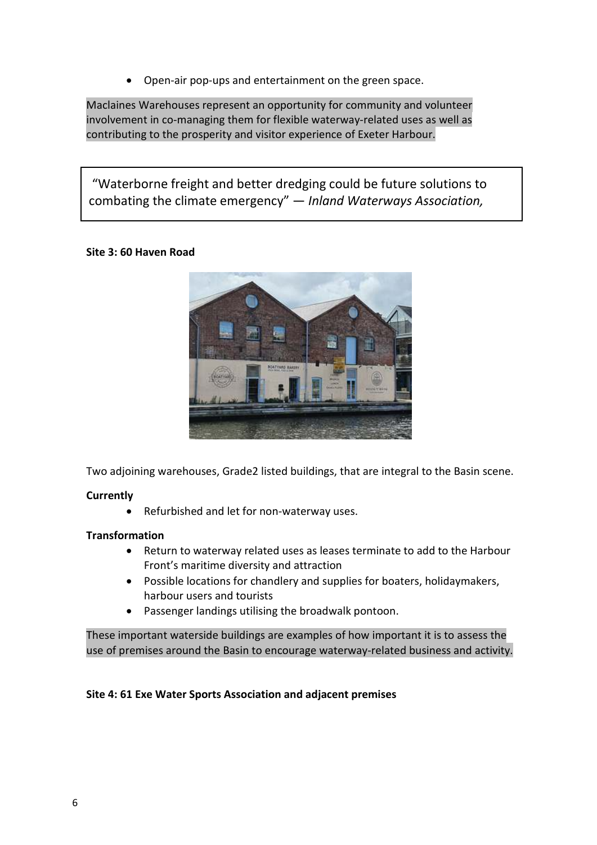Open-air pop-ups and entertainment on the green space.

Maclaines Warehouses represent an opportunity for community and volunteer involvement in co-managing them for flexible waterway-related uses as well as contributing to the prosperity and visitor experience of Exeter Harbour.

 "Waterborne freight and better dredging could be future solutions to combating the climate emergency" — *Inland Waterways Association,* 

## **Site 3: 60 Haven Road**

*2021.*



Two adjoining warehouses, Grade2 listed buildings, that are integral to the Basin scene.

#### **Currently**

Refurbished and let for non-waterway uses.

#### **Transformation**

- Return to waterway related uses as leases terminate to add to the Harbour Front's maritime diversity and attraction
- Possible locations for chandlery and supplies for boaters, holidaymakers, harbour users and tourists
- Passenger landings utilising the broadwalk pontoon.

These important waterside buildings are examples of how important it is to assess the use of premises around the Basin to encourage waterway-related business and activity.

#### **Site 4: 61 Exe Water Sports Association and adjacent premises**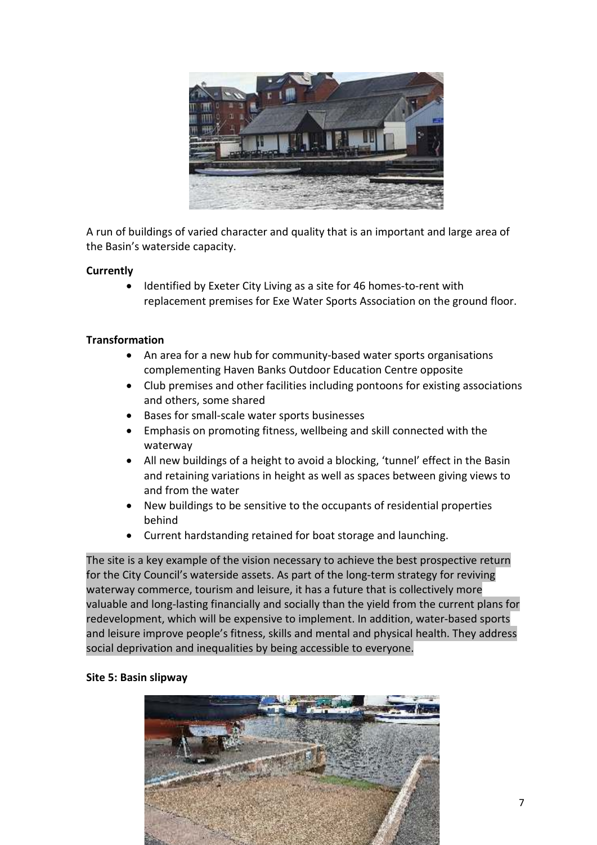

A run of buildings of varied character and quality that is an important and large area of the Basin's waterside capacity.

## **Currently**

 Identified by Exeter City Living as a site for 46 homes-to-rent with replacement premises for Exe Water Sports Association on the ground floor.

## **Transformation**

- An area for a new hub for community-based water sports organisations complementing Haven Banks Outdoor Education Centre opposite
- Club premises and other facilities including pontoons for existing associations and others, some shared
- Bases for small-scale water sports businesses
- Emphasis on promoting fitness, wellbeing and skill connected with the waterway
- All new buildings of a height to avoid a blocking, 'tunnel' effect in the Basin and retaining variations in height as well as spaces between giving views to and from the water
- New buildings to be sensitive to the occupants of residential properties behind
- Current hardstanding retained for boat storage and launching.

The site is a key example of the vision necessary to achieve the best prospective return for the City Council's waterside assets. As part of the long-term strategy for reviving waterway commerce, tourism and leisure, it has a future that is collectively more valuable and long-lasting financially and socially than the yield from the current plans for redevelopment, which will be expensive to implement. In addition, water-based sports and leisure improve people's fitness, skills and mental and physical health. They address social deprivation and inequalities by being accessible to everyone.

#### **Site 5: Basin slipway**

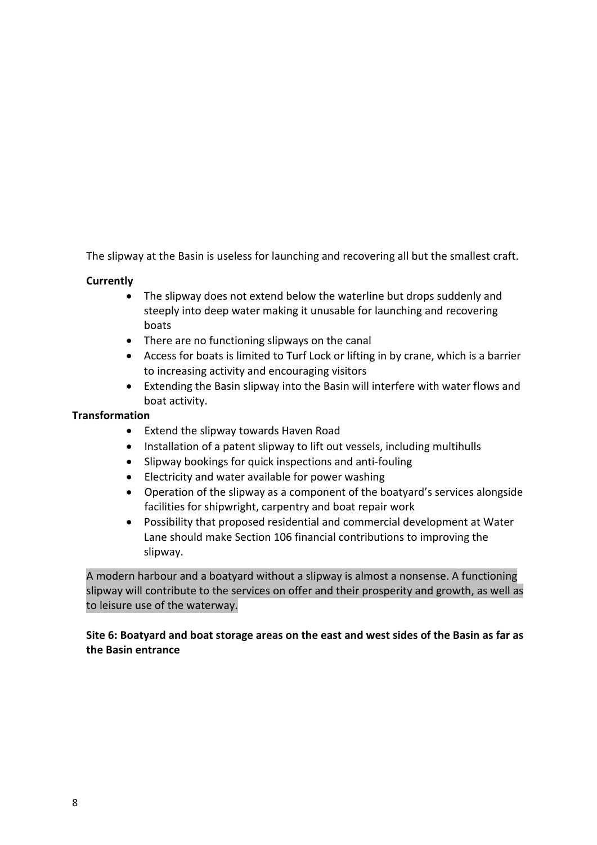The slipway at the Basin is useless for launching and recovering all but the smallest craft.

# **Currently**

- The slipway does not extend below the waterline but drops suddenly and steeply into deep water making it unusable for launching and recovering boats
- There are no functioning slipways on the canal
- Access for boats is limited to Turf Lock or lifting in by crane, which is a barrier to increasing activity and encouraging visitors
- Extending the Basin slipway into the Basin will interfere with water flows and boat activity.

## **Transformation**

- Extend the slipway towards Haven Road
- Installation of a patent slipway to lift out vessels, including multihulls
- Slipway bookings for quick inspections and anti-fouling
- Electricity and water available for power washing
- Operation of the slipway as a component of the boatyard's services alongside facilities for shipwright, carpentry and boat repair work
- Possibility that proposed residential and commercial development at Water Lane should make Section 106 financial contributions to improving the slipway.

A modern harbour and a boatyard without a slipway is almost a nonsense. A functioning slipway will contribute to the services on offer and their prosperity and growth, as well as to leisure use of the waterway.

# **Site 6: Boatyard and boat storage areas on the east and west sides of the Basin as far as the Basin entrance**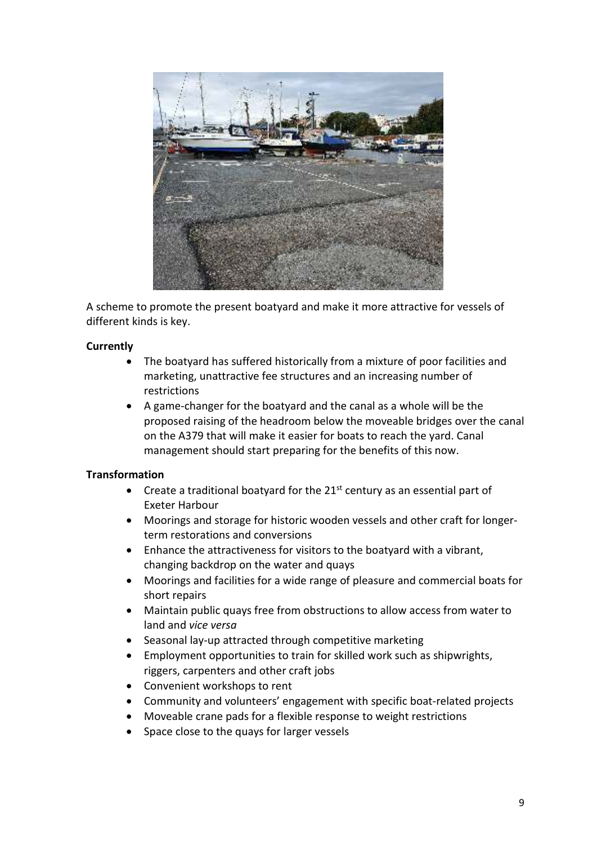

A scheme to promote the present boatyard and make it more attractive for vessels of different kinds is key.

# **Currently**

- The boatyard has suffered historically from a mixture of poor facilities and marketing, unattractive fee structures and an increasing number of restrictions
- A game-changer for the boatyard and the canal as a whole will be the proposed raising of the headroom below the moveable bridges over the canal on the A379 that will make it easier for boats to reach the yard. Canal management should start preparing for the benefits of this now.

- Create a traditional boatyard for the  $21<sup>st</sup>$  century as an essential part of Exeter Harbour
- Moorings and storage for historic wooden vessels and other craft for longerterm restorations and conversions
- Enhance the attractiveness for visitors to the boatyard with a vibrant, changing backdrop on the water and quays
- Moorings and facilities for a wide range of pleasure and commercial boats for short repairs
- Maintain public quays free from obstructions to allow access from water to land and *vice versa*
- Seasonal lay-up attracted through competitive marketing
- Employment opportunities to train for skilled work such as shipwrights, riggers, carpenters and other craft jobs
- Convenient workshops to rent
- Community and volunteers' engagement with specific boat-related projects
- Moveable crane pads for a flexible response to weight restrictions
- Space close to the quays for larger vessels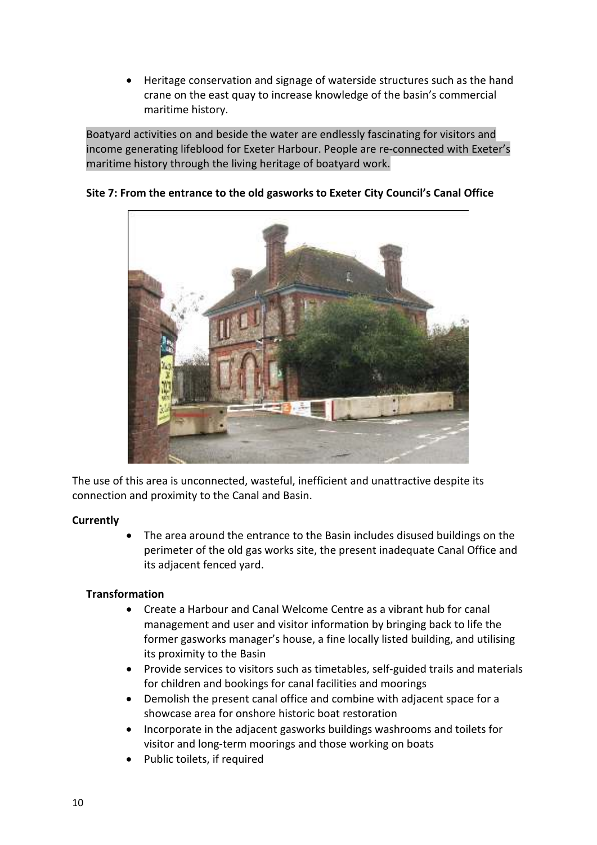Heritage conservation and signage of waterside structures such as the hand crane on the east quay to increase knowledge of the basin's commercial maritime history.

Boatyard activities on and beside the water are endlessly fascinating for visitors and income generating lifeblood for Exeter Harbour. People are re-connected with Exeter's maritime history through the living heritage of boatyard work.



# **Site 7: From the entrance to the old gasworks to Exeter City Council's Canal Office**

The use of this area is unconnected, wasteful, inefficient and unattractive despite its connection and proximity to the Canal and Basin.

# **Currently**

 The area around the entrance to the Basin includes disused buildings on the perimeter of the old gas works site, the present inadequate Canal Office and its adjacent fenced yard.

- Create a Harbour and Canal Welcome Centre as a vibrant hub for canal management and user and visitor information by bringing back to life the former gasworks manager's house, a fine locally listed building, and utilising its proximity to the Basin
- Provide services to visitors such as timetables, self-guided trails and materials for children and bookings for canal facilities and moorings
- Demolish the present canal office and combine with adjacent space for a showcase area for onshore historic boat restoration
- Incorporate in the adjacent gasworks buildings washrooms and toilets for visitor and long-term moorings and those working on boats
- Public toilets, if required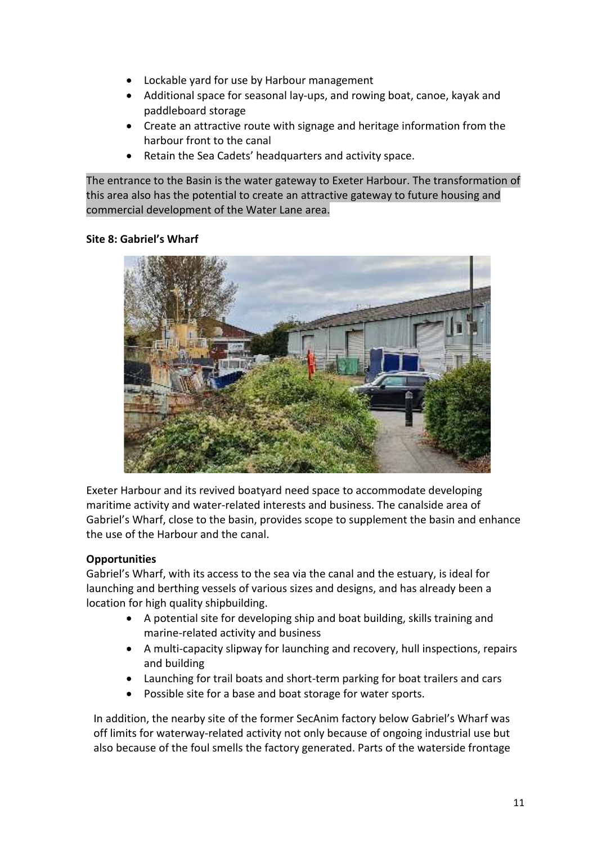- Lockable yard for use by Harbour management
- Additional space for seasonal lay-ups, and rowing boat, canoe, kayak and paddleboard storage
- Create an attractive route with signage and heritage information from the harbour front to the canal
- Retain the Sea Cadets' headquarters and activity space.

The entrance to the Basin is the water gateway to Exeter Harbour. The transformation of this area also has the potential to create an attractive gateway to future housing and commercial development of the Water Lane area.

# **Site 8: Gabriel's Wharf**



Exeter Harbour and its revived boatyard need space to accommodate developing maritime activity and water-related interests and business. The canalside area of Gabriel's Wharf, close to the basin, provides scope to supplement the basin and enhance the use of the Harbour and the canal.

# **Opportunities**

Gabriel's Wharf, with its access to the sea via the canal and the estuary, is ideal for launching and berthing vessels of various sizes and designs, and has already been a location for high quality shipbuilding.

- A potential site for developing ship and boat building, skills training and marine-related activity and business
- A multi-capacity slipway for launching and recovery, hull inspections, repairs and building
- Launching for trail boats and short-term parking for boat trailers and cars
- Possible site for a base and boat storage for water sports.

In addition, the nearby site of the former SecAnim factory below Gabriel's Wharf was off limits for waterway-related activity not only because of ongoing industrial use but also because of the foul smells the factory generated. Parts of the waterside frontage